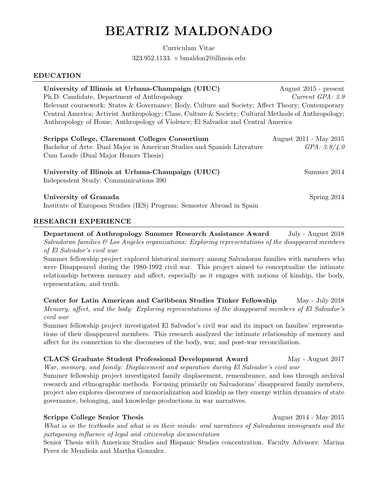# BEATRIZ MALDONADO

Curriculum Vitae 323.952.1133. bmaldon2@illinois.edu

#### EDUCATION

| University of Illinois at Urbana-Champaign (UIUC)                                                   | August $2015$ - present |  |
|-----------------------------------------------------------------------------------------------------|-------------------------|--|
| Ph.D. Candidate, Department of Anthropology                                                         | Current GPA: 3.9        |  |
| Relevant coursework: States & Governance; Body, Culture and Society; Affect Theory; Contemporary    |                         |  |
| Central America; Activist Anthropology; Class, Culture & Society; Cultural Methods of Anthropology; |                         |  |
| Anthropology of Home; Anthropology of Violence; El Salvador and Central America                     |                         |  |
|                                                                                                     |                         |  |
| Scripps College, Claremont Colleges Consortium                                                      | August 2011 - May 2015  |  |
| Bachelor of Arts: Dual Major in American Studies and Spanish Literature                             | GPA: 3.9/4.0            |  |

| University of Illinois at Urbana-Champaign (UIUC) | Summer 2014 |
|---------------------------------------------------|-------------|
| Independent Study: Communications 390             |             |
|                                                   |             |

University of Granada Spring 2014

Cum Laude (Dual Major Honors Thesis)

Institute of European Studies (IES) Program: Semester Abroad in Spain

#### RESEARCH EXPERIENCE

Department of Anthropology Summer Research Assistance Award July - August 2018 Salvadoran families  $\mathcal{C}$  Los Angeles organizations: Exploring representations of the disappeared members of El Salvador's civil war

Summer fellowship project explored historical memory among Salvadoran families with members who were Disappeared during the 1980-1992 civil war. This project aimed to conceptualize the intimate relationship between memory and affect, especially as it engages with notions of kinship, the body, representation, and truth.

Center for Latin American and Caribbean Studies Tinker Fellowship May - July 2018 Memory, affect, and the body: Exploring representations of the disappeared members of El Salvador's civil war

Summer fellowship project investigated El Salvador's civil war and its impact on families' representations of their disappeared members. This research analyzed the intimate relationship of memory and affect for its connection to the discourses of the body, war, and post-war reconciliation.

# CLACS Graduate Student Professional Development Award May - August 2017

War, memory, and family: Displacement and separation during El Salvador's civil war

Summer fellowship project investigated family displacement, remembrance, and loss through archival research and ethnographic methods. Focusing primarily on Salvadorans' disappeared family members, project also explores discourses of memorialization and kinship as they emerge within dynamics of state governance, belonging, and knowledge productions in war narratives.

## Scripps College Senior Thesis August 2014 - May 2015

What is in the textbooks and what is in their minds: oral narratives of Salvadoran immigrants and the juxtaposing influence of legal and citizenship documentation Senior Thesis with American Studies and Hispanic Studies concentration. Faculty Advisors: Marina

Perez de Mendiola and Martha Gonzalez.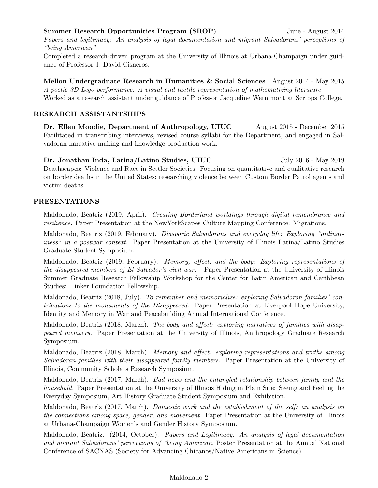## Summer Research Opportunities Program (SROP) June - August 2014

Papers and legitimacy: An analysis of legal documentation and migrant Salvadorans' perceptions of "being American"

Completed a research-driven program at the University of Illinois at Urbana-Champaign under guidance of Professor J. David Cisneros.

Mellon Undergraduate Research in Humanities & Social Sciences August 2014 - May 2015 A poetic 3D Lego performance: A visual and tactile representation of mathematizing literature Worked as a research assistant under guidance of Professor Jacqueline Wernimont at Scripps College.

#### RESEARCH ASSISTANTSHIPS

Dr. Ellen Moodie, Department of Anthropology, UIUC August 2015 - December 2015 Facilitated in transcribing interviews, revised course syllabi for the Department, and engaged in Salvadoran narrative making and knowledge production work.

Dr. Jonathan Inda, Latina/Latino Studies, UIUC July 2016 - May 2019 Deathscapes: Violence and Race in Settler Societies. Focusing on quantitative and qualitative research on border deaths in the United States; researching violence between Custom Border Patrol agents and victim deaths.

#### PRESENTATIONS

Maldonado, Beatriz (2019, April). Creating Borderland worldings through digital remembrance and resilience. Paper Presentation at the NewYorkScapes Culture Mapping Conference: Migrations.

Maldonado, Beatriz (2019, February). Diasporic Salvadorans and everyday life: Exploring "ordinariness" in a postwar context. Paper Presentation at the University of Illinois Latina/Latino Studies Graduate Student Symposium.

Maldonado, Beatriz (2019, February). Memory, affect, and the body: Exploring representations of the disappeared members of El Salvador's civil war. Paper Presentation at the University of Illinois Summer Graduate Research Fellowship Workshop for the Center for Latin American and Caribbean Studies: Tinker Foundation Fellowship.

Maldonado, Beatriz (2018, July). To remember and memorialize: exploring Salvadoran families' contributions to the monuments of the Disappeared. Paper Presentation at Liverpool Hope University, Identity and Memory in War and Peacebuilding Annual International Conference.

Maldonado, Beatriz (2018, March). The body and affect: exploring narratives of families with disappeared members. Paper Presentation at the University of Illinois, Anthropology Graduate Research Symposium.

Maldonado, Beatriz (2018, March). Memory and affect: exploring representations and truths among Salvadoran families with their disappeared family members. Paper Presentation at the University of Illinois, Community Scholars Research Symposium.

Maldonado, Beatriz (2017, March). Bad news and the entangled relationship between family and the household. Paper Presentation at the University of Illinois Hiding in Plain Site: Seeing and Feeling the Everyday Symposium, Art History Graduate Student Symposium and Exhibition.

Maldonado, Beatriz (2017, March). Domestic work and the establishment of the self: an analysis on the connections among space, gender, and movement. Paper Presentation at the University of Illinois at Urbana-Champaign Women's and Gender History Symposium.

Maldonado, Beatriz. (2014, October). Papers and Legitimacy: An analysis of legal documentation and migrant Salvadorans' perceptions of "being American. Poster Presentation at the Annual National Conference of SACNAS (Society for Advancing Chicanos/Native Americans in Science).